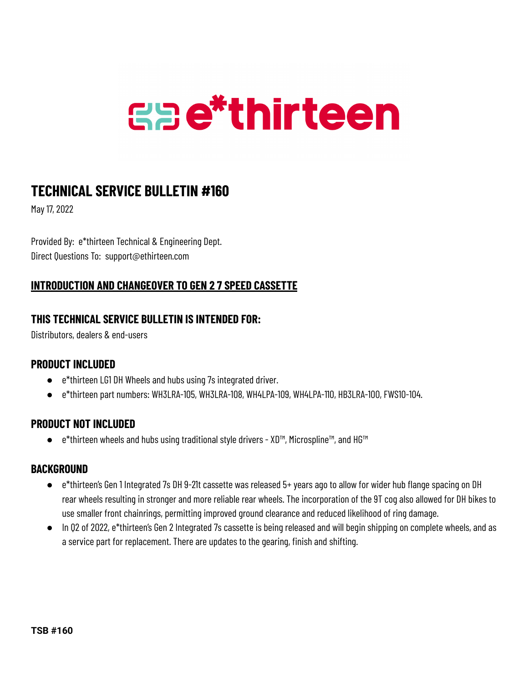# **Gae\*thirteen**

## **TECHNICAL SERVICE BULLETIN #160**

May 17, 2022

Provided By: e\*thirteen Technical & Engineering Dept. Direct Questions To: support@ethirteen.com

### **INTRODUCTION AND CHANGEOVER TO GEN 2 7 SPEED CASSETTE**

#### **THIS TECHNICAL SERVICE BULLETIN IS INTENDED FOR:**

Distributors, dealers & end-users

#### **PRODUCT INCLUDED**

- e\*thirteen LG1 DH Wheels and hubs using 7s integrated driver.
- e\*thirteen part numbers: WH3LRA-105, WH3LRA-108, WH4LPA-109, WH4LPA-110, HB3LRA-100, FWS10-104.

#### **PRODUCT NOT INCLUDED**

● e\*thirteen wheels and hubs using traditional style drivers - XD™, Microspline™, and HG™

#### **BACKGROUND**

- e\*thirteen's Gen 1 Integrated 7s DH 9-21t cassette was released 5+ years ago to allow for wider hub flange spacing on DH rear wheels resulting in stronger and more reliable rear wheels. The incorporation of the 9T cog also allowed for DH bikes to use smaller front chainrings, permitting improved ground clearance and reduced likelihood of ring damage.
- In Q2 of 2022, e\*thirteen's Gen 2 Integrated 7s cassette is being released and will begin shipping on complete wheels, and as a service part for replacement. There are updates to the gearing, finish and shifting.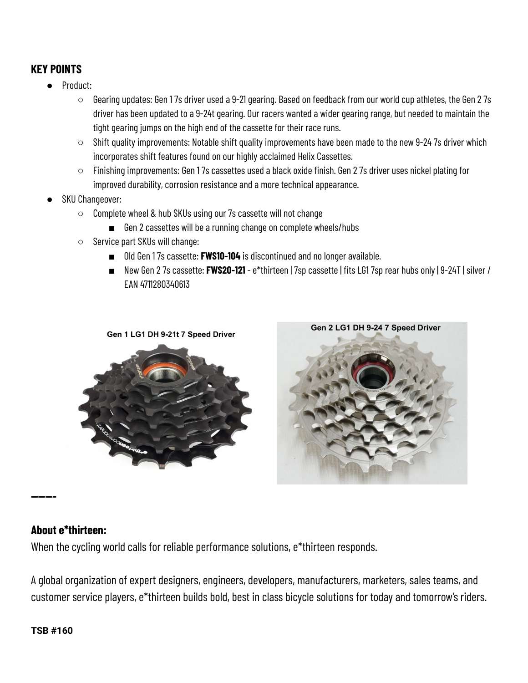#### **KEY POINTS**

- Product:
	- Gearing updates: Gen 1 7s driver used a 9-21 gearing. Based on feedback from our world cup athletes, the Gen 2 7s driver has been updated to a 9-24t gearing. Our racers wanted a wider gearing range, but needed to maintain the tight gearing jumps on the high end of the cassette for their race runs.
	- Shift quality improvements: Notable shift quality improvements have been made to the new 9-24 7s driver which incorporates shift features found on our highly acclaimed Helix Cassettes.
	- Finishing improvements: Gen 1 7s cassettes used a black oxide finish. Gen 2 7s driver uses nickel plating for improved durability, corrosion resistance and a more technical appearance.
- **SKU Changeover:** 
	- Complete wheel & hub SKUs using our 7s cassette will not change
		- Gen 2 cassettes will be a running change on complete wheels/hubs
	- Service part SKUs will change:
		- Old Gen 17s cassette: **FWS10-104** is discontinued and no longer available.
		- New Gen 2 7s cassette: **FWS20-121** e\*thirteen | 7sp cassette | fits LG1 7sp rear hubs only | 9-24T | silver / EAN 4711280340613





#### **About e\*thirteen:**

**-**

When the cycling world calls for reliable performance solutions, e\*thirteen responds.

A global organization of expert designers, engineers, developers, manufacturers, marketers, sales teams, and customer service players, e\*thirteen builds bold, best in class bicycle solutions for today and tomorrow's riders.

#### **TSB #160**